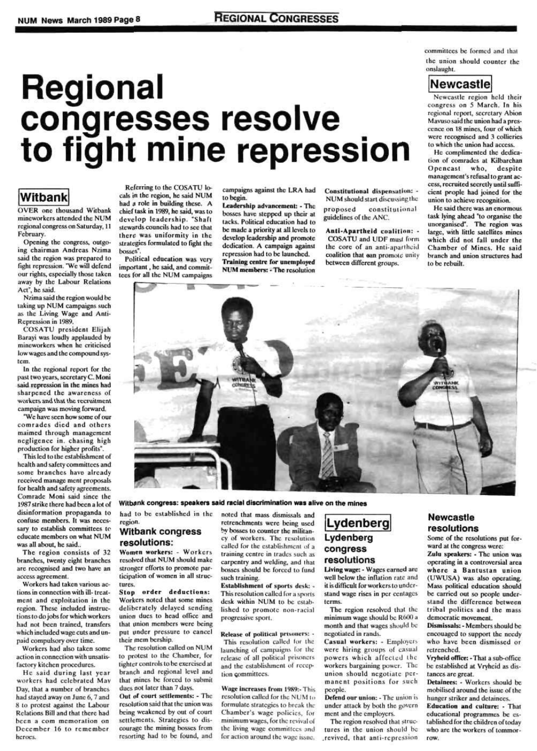# **Regional congresses resolve to fight mine repression**

committees be formed and thai ihc union should counter the onslaught.

OVER one thousand Witbank mincworkcrs attended the NUM regional congress on Saturday, 11 February-

Opening the congress, outgoing chairman Andreas Nzima said the region was prepared to fight repression. "We will defend our rights, especially those taken away by the Labour Relations  $\frac{1}{2}$ 



# Witbank

Nzima said the region would be taking up NUM campaigns such as the Living Wage and Ami-Repression in 1989.

COSATU president Elijah Barayi was loudly applauded by mineworkcrs when he criticised low wages and the compound system.

This led to the establishment of health and safety committees and some branches havo already received manage ment proposals for health and safety agreements. Comrade Moni said since the 1987strike there had been a lot of disinformation propaganda to confuse members. It was necessonnusc memoria, it was necessary to cataousu committees to educate members on what NUM<br>was all about, he said..

In the regional report for the past two years, secretary C. Moni said repression in the mines had sharpened the awareness of workers and that the recruitment campaign was moving forward,

"We have seen how some of our comrades died and others maimed through management negligence in. chasing high production for higher profits".

He said during last year workers had celebrated Mav Day, that a number of branches had stayed away on June 6,7 and 8 to protest against the Labour Relations Bill and that there had been a com memoration on December 16 to remember heroes.

#### Witbank congress: speakers said racial discrimination was alive on the mines

Political education was very important, he said, and committees for all the NUM campaigns

Leadership advancement: \* The bosses have stepped up their at tacks. Political education had to be made a priority at all levels to develop leadership and promote dedication. A campaign against repression had to be launched. Training centre for unemployed NUM members: - The resolution

Constitutional dispensation: \* NUM should start discussing the proposed constitutional guidelines of the ANC.

The region consists of 32 branches, twenty eight branches arc recognised and two have an access agreement.

Anti-Apartheid coalition: -COSATU and UDF must form the core of an anti-aparthcid coalition that can promote unity between different groups.

Workers had taken various actions in connection with ill- treatment and exploitation in the region. These included instruc-I ions to do jobs for which workers had not been trained, transfers which included wage cuts and unpaid compulsory over time.

He said there was an enormous task lying ahead "to organise the unorganised". The region was large, with little satellites mines which did not fall under the Chamber of Mines. He said branch and union structures had to be rebuilt.



Workers had also taken some action in connection with unsatisfactory kitchen procedures.

Women workers: - Workers resolved that NUM should make stronger efforts to promote participation of women in all structures.

Stop order deductions: Workers noted that some mines deliberately delayed sending union dues to head office and that union members were being put under pressure to cancel their mem bcrship.

The resolution called on NUM to protest to the Chamber, for tighter controls to be exercised at branch and regional level and that mines be forced to submit dues not later than 7 days.

Referring to the COSATU locals in the region, he said NUM had a role in building these. A chief task in 1989. he said, was to develop leadership. "Shaft stewards councils had to see that there was uniformity in the strategics formulated to fight the bosses".

> Establishment of sports desk: -This resolution called for a sports desk within NUM to be established to promote non-racial progressive sport.

> Release of political prisoners: - This resolution called lor the launching of campaigns for the release of all political prisoners and the establishment of reception committees.

campaigns against the LRA had to begin.

Wage increases from 1989:- This resolution called for the NUM to formulate strategies to break the Chamber's wage policies, for minimum wages, for the revivalof the living wage committees and for action around the wage issue.

Living wage: - Wages earned are well below the intlation rate and it is difficult for workers to understand wage rises in per ccnlages terms.

The region resolved that structures in the union should be .revived, that anti-repression Some of the resolutions put forward at the congress were:

Newcastle region held their congress on 5 March. In his regional report, secretary Abion Mavuso said the union had a presccncc on 18 mines, four of which were recognised and 3 collieries to which the union had access.

Zulu speakers: - The union was operating in a controversial area where a Bantustan union (UWUSA) was also operating. Mass political education should be carried out so people understand the difference between tribal politics and the mass democratic movement.

www.cancellican. premissars: - includers supplied on encouaged to support the needy who have been dismissed or retrenched.

He complimented the dedication of comrades at Kilbarchan Opencast who, despite management's refusal togrant access, recruited secretly until sufficient prople had joined for the union to achieve recognition.

Detainees: - Workers should be mobilised around the issue of the hunger striker and detainees. Education and culture: - That educational programmes be established for the children of today who are the workers of tommorrow.

had to be established in the region.

#### Witbank congress resolutions:

Out of court settlements: - The resolution said that (he union was being weakened by out of court settlements. Strategics to discourage the mining bosses from resorting had to be found, and noted that mass dismissals and retrenchments were being used by bosses to counter the militancy of workers. The resolution called for the establishment of a training centre in trades such as carpentry and welding, and that bosses should be forced to fund such training.

# Lydenberg Lydenberg congress resolutions

The region resolved that the minimum wage should be R600 a month and that wages should be negotiated in rands.

Casual workers: - Employers were hiring groups of casual powers which affected the workers bargaining power. The  $\frac{1}{2}$ emon showing negotiate per manent positions for such<br>people.

Defend our union: - The union is under attack by both the govern ment and the employers.

# Newcastle resolutions

Vryheld office: -Thai a sub-office be established at Vryhcid as distances arc great.